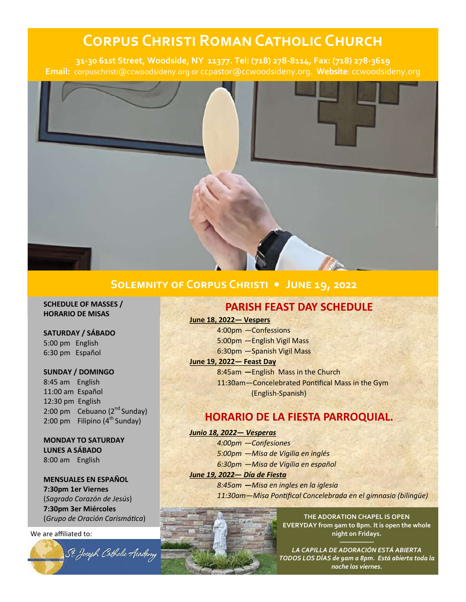# **Corpus Christi Roman Catholic Church**

**31-30 61st Street, Woodside, NY 11377. Tel: (718) 278-8114, Fax: (718) 278-3619 Email:** corpuschristi@ccwoodsideny.org or ccpastor@ccwoodsideny.org. **Website**: ccwoodsideny.org



# **Solemnity of Corpus Christi • June 19, 2022**

**SCHEDULE OF MASSES / HORARIO DE MISAS**

#### **SATURDAY / SÁBADO**

5:00 pm English 6:30 pm Español

### **SUNDAY / DOMINGO**

8:45 am English 11:00 am Español 12:30 pm English 2:00 pm Cebuano  $(2^{nd}$  Sunday) 2:00 pm Filipino  $(4<sup>th</sup>$  Sunday)

### **MONDAY TO SATURDAY LUNES A SÁBADO** 8:00 am English

**MENSUALES EN ESPAÑOL**

**7:30pm 1er Viernes**  (*Sagrado Corazón de Jesús*) **7:30pm 3er Miércoles**  (*Grupo de Oración Carismática*)

We are affiliated to:

# **PARISH FEAST DAY SCHEDULE**

#### **June 18, 2022— Vespers**

- 4:00pm —Confessions
- 5:00pm —English Vigil Mass
- 6:30pm —Spanish Vigil Mass

### **June 19, 2022— Feast Day**

8:45am **—**English Mass in the Church

11:30am—Concelebrated Pontifical Mass in the Gym (English-Spanish)

# **HORARIO DE LA FIESTA PARROQUIAL.**

#### *Junio 18, 2022— Vesperas*

*4:00pm —Confesiones 5:00pm —Misa de Vigilia en inglés 6:30pm —Misa de Vigilia en español* 

*June 19, 2022— Día de Fiesta*

*8:45am —Misa en ingles en la iglesia 11:30am—Misa Pontifical Concelebrada en el gimnasio (bilingüe)*



**THE ADORATION CHAPEL IS OPEN EVERYDAY from 9am to 8pm. It is open the whole night on Fridays.** 

*LA CAPILLA DE ADORACIÓN ESTÁ ABIERTA TODOS LOS DÍAS de 9am a 8pm. Está abierta toda la noche los viernes.*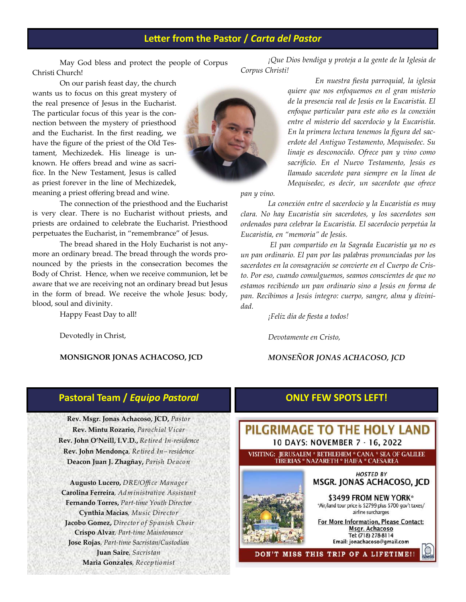# **Letter from the Pastor /** *Carta del Pastor*

May God bless and protect the people of Corpus Christi Church!

The connection of the priesthood and the Eucharist

The bread shared in the Holy Eucharist is not any-

is very clear. There is no Eucharist without priests, and priests are ordained to celebrate the Eucharist. Priesthood perpetuates the Eucharist, in "remembrance" of Jesus.

more an ordinary bread. The bread through the words pronounced by the priests in the consecration becomes the Body of Christ. Hence, when we receive communion, let be aware that we are receiving not an ordinary bread but Jesus in the form of bread. We receive the whole Jesus: body,

On our parish feast day, the church wants us to focus on this great mystery of the real presence of Jesus in the Eucharist. The particular focus of this year is the connection between the mystery of priesthood and the Eucharist. In the first reading, we have the figure of the priest of the Old Testament, Mechizedek. His lineage is unknown. He offers bread and wine as sacrifice. In the New Testament, Jesus is called as priest forever in the line of Mechizedek, meaning a priest offering bread and wine.

blood, soul and divinity.

Happy Feast Day to all!

Devotedly in Christ,

*En nuestra fiesta parroquial, la iglesia quiere que nos enfoquemos en el gran misterio de la presencia real de Jesús en la Eucaristía. El enfoque particular para este año es la conexión entre el misterio del sacerdocio y la Eucaristía. En la primera lectura tenemos la figura del sacerdote del Antiguo Testamento, Mequisedec. Su linaje es desconocido. Ofrece pan y vino como sacrificio. En el Nuevo Testamento, Jesús es llamado sacerdote para siempre en la línea de Mequisedec, es decir, un sacerdote que ofrece* 

*¡Que Dios bendiga y proteja a la gente de la Iglesia de* 

*pan y vino.*

*Corpus Christi!* 

*La conexión entre el sacerdocio y la Eucaristía es muy clara. No hay Eucaristía sin sacerdotes, y los sacerdotes son ordenados para celebrar la Eucaristía. El sacerdocio perpetúa la Eucaristía, en "memoria" de Jesús.*

*El pan compartido en la Sagrada Eucaristía ya no es un pan ordinario. El pan por las palabras pronunciadas por los sacerdotes en la consagración se convierte en el Cuerpo de Cristo. Por eso, cuando comulguemos, seamos conscientes de que no estamos recibiendo un pan ordinario sino a Jesús en forma de pan. Recibimos a Jesús íntegro: cuerpo, sangre, alma y divinidad.*

*¡Feliz día de fiesta a todos!*

*Devotamente en Cristo,*

### *MONSEÑOR JONAS ACHACOSO, JCD*

### **Pastoral Team /** *Equipo Pastoral*

**MONSIGNOR JONAS ACHACOSO, JCD**

**Rev. Msgr. Jonas Achacoso, JCD,** *Pastor* **Rev. Mintu Rozario,** *Parochial Vicar* **Rev. John O'Neill, I.V.D.,** *Retired In-residence* **Rev. John Mendonça***, Retired In– residence* **Deacon Juan J. Zhagñay,** *Parish Deacon*

**Augusto Lucero,** *DRE/Office Manager*  **Carolina Ferreira***, Administrative Assistant* **Fernando Torres,** *Part-time Youth Director*  **Cynthia Macias***, Music Director* **Jacobo Gomez,** *Director of Spanish Choir* **Crispo Alvar***, Part-time Maintenance* **Jose Rojas***, Part-time Sacristan/Custodian* **Juan Saire***, Sacristan* **Maria Gonzales***, Receptionist*

# **ONLY FEW SPOTS LEFT!**



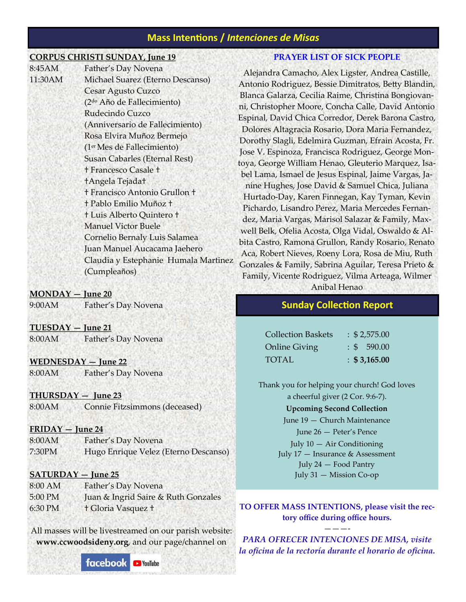# **Mass Intentions /** *Intenciones de Misas*

### **CORPUS CHRISTI SUNDAY, June 19**

| 8:45AM  | Father's Day Novena                    |
|---------|----------------------------------------|
| 11:30AM | Michael Suarez (Eterno Descanso)       |
|         | Cesar Agusto Cuzco                     |
|         | (2 <sup>do</sup> Año de Fallecimiento) |
|         | Rudecindo Cuzco                        |
|         | (Anniversario de Fallecimiento)        |
|         | Rosa Elvira Muñoz Bermejo              |
|         | (1 <sup>er</sup> Mes de Fallecimiento) |
|         | Susan Cabarles (Eternal Rest)          |
|         | <b>† Francesco Casale †</b>            |
|         | <b>tAngela Tejadat</b>                 |
|         | † Francisco Antonio Grullon †          |
|         | † Pablo Emilio Muñoz †                 |
|         | <sup>†</sup> Luis Alberto Quintero †   |
|         | <b>Manuel Victor Buele</b>             |
|         | Cornelio Bernaly Luis Salamea          |
|         | Juan Manuel Aucacama Jaehero           |
|         | Claudia y Estephanie Humala Martinez   |
|         | (Cumpleaños)                           |
|         |                                        |

#### **MONDAY — June 20**

9:00AM Father's Day Novena

### **TUESDAY — June 21**

|  | 8:00AM | Father's Day Novena |
|--|--------|---------------------|
|--|--------|---------------------|

#### **WEDNESDAY — June 22**

8:00AM Father's Day Novena

#### **THURSDAY — June 23**

8:00AM Connie Fitzsimmons (deceased)

#### **FRIDAY — June 24**

8:00AM Father's Day Novena 7:30PM Hugo Enrique Velez (Eterno Descanso)

#### **SATURDAY — June 25**

8:00 AM Father's Day Novena 5:00 PM Juan & Ingrid Saire & Ruth Gonzales 6:30 PM † Gloria Vasquez †

All masses will be livestreamed on our parish website: **www.ccwoodsideny.org**, and our page/channel on

> facebook **C** YouTube

### **PRAYER LIST OF SICK PEOPLE**

Alejandra Camacho, Alex Ligster, Andrea Castille, Antonio Rodriguez, Bessie Dimitratos, Betty Blandin, Blanca Galarza, Cecilia Raime, Christina Bongiovanni, Christopher Moore, Concha Calle, David Antonio Espinal, David Chica Corredor, Derek Barona Castro, Dolores Altagracia Rosario, Dora Maria Fernandez, Dorothy Slagli, Edelmira Guzman, Efrain Acosta, Fr. Jose V. Espinoza, Francisca Rodriguez, George Montoya, George William Henao, Gleuterio Marquez, Isabel Lama, Ismael de Jesus Espinal, Jaime Vargas, Janine Hughes, Jose David & Samuel Chica, Juliana Hurtado-Day, Karen Finnegan, Kay Tyman, Kevin Pichardo, Lisandro Perez, Maria Mercedes Fernandez, Maria Vargas, Marisol Salazar & Family, Maxwell Belk, Ofelia Acosta, Olga Vidal, Oswaldo & Albita Castro, Ramona Grullon, Randy Rosario, Renato Aca, Robert Nieves, Roeny Lora, Rosa de Miu, Ruth Gonzales & Family, Sabrina Aguilar, Teresa Prieto & Family, Vicente Rodriguez, Vilma Arteaga, Wilmer

Anibal Henao

# **Sunday Collection Report**

| <b>Collection Baskets</b> | $\div$ \$ 2,575.00 |
|---------------------------|--------------------|
| Online Giving             | $\div$ \$ 590.00   |
| <b>TOTAL</b>              | $\div$ \$3,165.00  |

Thank you for helping your church! God loves a cheerful giver (2 Cor. 9:6-7).

#### **Upcoming Second Collection**

June 19 — Church Maintenance June 26 — Peter's Pence July  $10 - Air Conditioning$ July 17 — Insurance & Assessment July 24 — Food Pantry July 31 — Mission Co-op

**TO OFFER MASS INTENTIONS, please visit the rectory office during office hours.** 

*PARA OFRECER INTENCIONES DE MISA, visite la oficina de la rectoría durante el horario de oficina.*

———-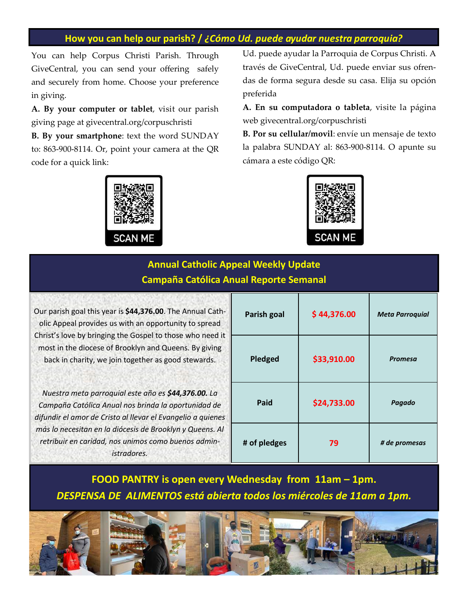# **How you can help our parish? /** *¿Cómo Ud. puede ayudar nuestra parroquia?*

You can help Corpus Christi Parish. Through GiveCentral, you can send your offering safely and securely from home. Choose your preference in giving.

**A. By your computer or tablet**, visit our parish giving page at givecentral.org/corpuschristi

**B. By your smartphone**: text the word SUNDAY to: 863-900-8114. Or, point your camera at the QR code for a quick link:

**SCAN ME** 

Ud. puede ayudar la Parroquia de Corpus Christi. A través de GiveCentral, Ud. puede enviar sus ofrendas de forma segura desde su casa. Elija su opción preferida

**A. En su computadora o tableta**, visite la página web givecentral.org/corpuschristi

**B. Por su cellular/movil**: envíe un mensaje de texto la palabra SUNDAY al: 863-900-8114. O apunte su cámara a este código QR:



# **Annual Catholic Appeal Weekly Update Campaña Católica Anual Reporte Semanal**

Our parish goal this year is **\$44,376.00**. The Annual Catholic Appeal provides us with an opportunity to spread Christ's love by bringing the Gospel to those who need it most in the diocese of Brooklyn and Queens. By giving back in charity, we join together as good stewards.

*Nuestra meta parroquial este año es \$44,376.00. La Campaña Católica Anual nos brinda la oportunidad de difundir el amor de Cristo al llevar el Evangelio a quienes más lo necesitan en la diócesis de Brooklyn y Queens. Al retribuir en caridad, nos unimos como buenos administradores.* 

| Parish goal  | \$44,376.00 | <b>Meta Parroquial</b> |
|--------------|-------------|------------------------|
| Pledged      | \$33,910.00 | <b>Promesa</b>         |
| Paid         | \$24,733.00 | Pagado                 |
| # of pledges | 79          | # de promesas          |

**FOOD PANTRY is open every Wednesday from 11am – 1pm.** *DESPENSA DE ALIMENTOS está abierta todos los miércoles de 11am a 1pm.* 

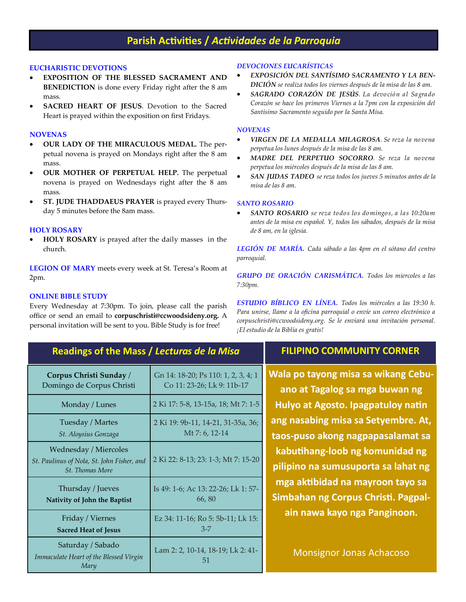# **Parish Activities /** *Actividades de la Parroquia*

#### **EUCHARISTIC DEVOTIONS**

- **EXPOSITION OF THE BLESSED SACRAMENT AND BENEDICTION** is done every Friday right after the 8 am mass.
- **SACRED HEART OF JESUS**. Devotion to the Sacred Heart is prayed within the exposition on first Fridays.

#### **NOVENAS**

- **OUR LADY OF THE MIRACULOUS MEDAL.** The perpetual novena is prayed on Mondays right after the 8 am mass.
- **OUR MOTHER OF PERPETUAL HELP.** The perpetual novena is prayed on Wednesdays right after the 8 am mass.
- **ST. JUDE THADDAEUS PRAYER** is prayed every Thursday 5 minutes before the 8am mass.

#### **HOLY ROSARY**

 **HOLY ROSARY** is prayed after the daily masses in the church.

**LEGION OF MARY** meets every week at St. Teresa's Room at 2pm.

#### **ONLINE BIBLE STUDY**

Every Wednesday at 7:30pm. To join, please call the parish office or send an email to **corpuschristi@ccwoodsideny.org.** A personal invitation will be sent to you. Bible Study is for free!

#### *DEVOCIONES EUCARÍSTICAS*

- *EXPOSICIÓN DEL SANTÍSIMO SACRAMENTO Y LA BEN-DICIÓN se realiza todos los viernes después de la misa de las 8 am.*
- *SAGRADO CORAZÓN DE JESÚS. La devoción al Sagrado Corazón se hace los primeros Viernes a la 7pm con la exposición del Santísimo Sacramento seguido por la Santa Misa.*

#### *NOVENAS*

- *VIRGEN DE LA MEDALLA MILAGROSA. Se reza la novena perpetua los lunes después de la misa de las 8 am.*
- *MADRE DEL PERPETUO SOCORRO. Se reza la novena perpetua los miércoles después de la misa de las 8 am.*
- *SAN JUDAS TADEO se reza todos los jueves 5 minutos antes de la misa de las 8 am.*

#### *SANTO ROSARIO*

 *SANTO ROSARIO se reza todos los domingos, a las 10:20am antes de la misa en español. Y, todos los sábados, después de la misa de 8 am, en la iglesia.*

*LEGIÓN DE MARÍA. Cada sábado a las 4pm en el sótano del centro parroquial.*

*GRUPO DE ORACIÓN CARISMÁTICA. Todos los miercoles a las 7:30pm.* 

*ESTUDIO BÍBLICO EN LÍNEA. Todos los miércoles a las 19:30 h. Para unirse, llame a la oficina parroquial o envíe un correo electrónico a corpuschristi@ccwoodsideny.org. Se le enviará una invitación personal. ¡El estudio de la Biblia es gratis!*

# **Readings of the Mass /** *Lecturas de la Misa*

| Corpus Christi Sunday /                                                                       | Gn 14: 18-20; Ps 110: 1, 2, 3, 4; 1     |
|-----------------------------------------------------------------------------------------------|-----------------------------------------|
| Domingo de Corpus Christi                                                                     | Co 11: 23-26; Lk 9: 11b-17              |
| Monday / Lunes                                                                                | 2 Ki 17: 5-8, 13-15a, 18; Mt 7: 1-5     |
| Tuesday / Martes                                                                              | 2 Ki 19: 9b-11, 14-21, 31-35a, 36;      |
| St. Aloysius Gonzaga                                                                          | Mt 7: 6, 12-14                          |
| <b>Wednesday / Miercoles</b><br>St. Paulinus of Nola, St. John Fisher, and<br>St. Thomas More | 2 Ki 22: 8-13; 23: 1-3; Mt 7: 15-20     |
| Thursday / Jueves                                                                             | Is 49: 1-6; Ac 13: 22-26; Lk 1: 57-     |
| Nativity of John the Baptist                                                                  | 66,80                                   |
| Friday / Viernes                                                                              | Ez 34: 11-16; Ro 5: 5b-11; Lk 15:       |
| <b>Sacred Heat of Jesus</b>                                                                   | $3 - 7$                                 |
| Saturday / Sabado<br>Immaculate Heart of the Blessed Virgin<br>Mary                           | Lam 2: 2, 10-14, 18-19; Lk 2: 41-<br>51 |

# **FILIPINO COMMUNITY CORNER**

**Wala po tayong misa sa wikang Cebuano at Tagalog sa mga buwan ng Hulyo at Agosto. Ipagpatuloy natin ang nasabing misa sa Setyembre. At, taos-puso akong nagpapasalamat sa kabutihang-loob ng komunidad ng pilipino na sumusuporta sa lahat ng mga aktibidad na mayroon tayo sa Simbahan ng Corpus Christi. Pagpalain nawa kayo nga Panginoon.**

Monsignor Jonas Achacoso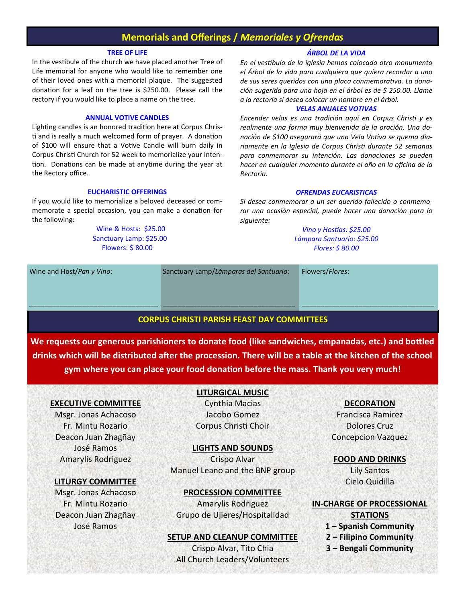# **Memorials and Offerings /** *Memoriales y Ofrendas*

#### **TREE OF LIFE**

In the vestibule of the church we have placed another Tree of Life memorial for anyone who would like to remember one of their loved ones with a memorial plaque. The suggested donation for a leaf on the tree is \$250.00. Please call the rectory if you would like to place a name on the tree.

#### **ANNUAL VOTIVE CANDLES**

Lighting candles is an honored tradition here at Corpus Christi and is really a much welcomed form of prayer. A donation of \$100 will ensure that a Votive Candle will burn daily in Corpus Christi Church for 52 week to memorialize your intention. Donations can be made at anytime during the year at the Rectory office.

#### **EUCHARISTIC OFFERINGS**

If you would like to memorialize a beloved deceased or commemorate a special occasion, you can make a donation for the following:

> Wine & Hosts: \$25.00 Sanctuary Lamp: \$25.00 Flowers: \$ 80.00

#### *ÁRBOL DE LA VIDA*

*En el vestíbulo de la iglesia hemos colocado otro monumento el Árbol de la vida para cualquiera que quiera recordar a uno de sus seres queridos con una placa conmemorativa. La donación sugerida para una hoja en el árbol es de \$ 250.00. Llame a la rectoría si desea colocar un nombre en el árbol.*

#### *VELAS ANUALES VOTIVAS*

*Encender velas es una tradición aquí en Corpus Christi y es realmente una forma muy bienvenida de la oración. Una donación de \$100 asegurará que una Vela Votiva se quema diariamente en la Iglesia de Corpus Christi durante 52 semanas para conmemorar su intención. Las donaciones se pueden hacer en cualquier momento durante el año en la oficina de la Rectoría.*

#### *OFRENDAS EUCARISTICAS*

*Si desea conmemorar a un ser querido fallecido o conmemorar una ocasión especial, puede hacer una donación para lo siguiente:*

> *Vino y Hostias: \$25.00 Lámpara Santuario: \$25.00 Flores: \$ 80.00*

Wine and Host/*Pan y Vino*:

Sanctuary Lamp/*Lámparas del Santuario*:

Flowers/*Flores*:

#### **CORPUS CHRISTI PARISH FEAST DAY COMMITTEES**

\_\_\_\_\_\_\_\_\_\_\_\_\_\_\_\_\_\_\_\_\_\_\_\_\_\_\_\_\_\_\_\_\_\_\_

**We requests our generous parishioners to donate food (like sandwiches, empanadas, etc.) and bottled drinks which will be distributed after the procession. There will be a table at the kitchen of the school gym where you can place your food donation before the mass. Thank you very much!**

#### **EXECUTIVE COMMITTEE**

\_\_\_\_\_\_\_\_\_\_\_\_\_\_\_\_\_\_\_\_\_\_\_\_\_\_\_\_\_\_\_\_\_\_

Msgr. Jonas Achacoso Fr. Mintu Rozario Deacon Juan Zhagñay José Ramos Amarylis Rodriguez

#### **LITURGY COMMITTEE**

Msgr. Jonas Achacoso Fr. Mintu Rozario Deacon Juan Zhagñay José Ramos

### **LITURGICAL MUSIC**

Cynthia Macias Jacobo Gomez Corpus Christi Choir

#### **LIGHTS AND SOUNDS**

Crispo Alvar Manuel Leano and the BNP group

#### **PROCESSION COMMITTEE**

Amarylis Rodriguez Grupo de Ujieres/Hospitalidad

#### **SETUP AND CLEANUP COMMITTEE**

Crispo Alvar, Tito Chia All Church Leaders/Volunteers

#### **DECORATION**

\_\_\_\_\_\_\_\_\_\_\_\_\_\_\_\_\_\_\_\_\_\_\_\_\_\_\_\_\_\_\_\_\_\_\_

Francisca Ramirez Dolores Cruz Concepcion Vazquez

**FOOD AND DRINKS** Lily Santos

Cielo Quidilla

#### **IN-CHARGE OF PROCESSIONAL**

**STATIONS**

- **1 – Spanish Community**
- **2 – Filipino Community**
- **3 – Bengali Community**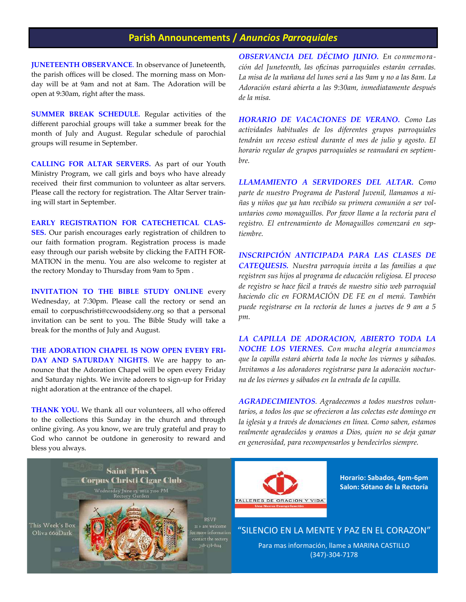# **Parish Announcements /** *Anuncios Parroquiales*

**JUNETEENTH OBSERVANCE**. In observance of Juneteenth, the parish offices will be closed. The morning mass on Monday will be at 9am and not at 8am. The Adoration will be open at 9:30am, right after the mass.

**SUMMER BREAK SCHEDULE.** Regular activities of the different parochial groups will take a summer break for the month of July and August. Regular schedule of parochial groups will resume in September.

**CALLING FOR ALTAR SERVERS.** As part of our Youth Ministry Program, we call girls and boys who have already received their first communion to volunteer as altar servers. Please call the rectory for registration. The Altar Server training will start in September.

**EARLY REGISTRATION FOR CATECHETICAL CLAS-**

**SES.** Our parish encourages early registration of children to our faith formation program. Registration process is made easy through our parish website by clicking the FAITH FOR-MATION in the menu. You are also welcome to register at the rectory Monday to Thursday from 9am to 5pm .

**INVITATION TO THE BIBLE STUDY ONLINE** every Wednesday, at 7:30pm. Please call the rectory or send an email to corpuschristi@ccwoodsideny.org so that a personal invitation can be sent to you. The Bible Study will take a break for the months of July and August.

**THE ADORATION CHAPEL IS NOW OPEN EVERY FRI-DAY AND SATURDAY NIGHTS**. We are happy to announce that the Adoration Chapel will be open every Friday and Saturday nights. We invite adorers to sign-up for Friday night adoration at the entrance of the chapel.

**THANK YOU.** We thank all our volunteers, all who offered to the collections this Sunday in the church and through online giving. As you know, we are truly grateful and pray to God who cannot be outdone in generosity to reward and bless you always.

*OBSERVANCIA DEL DÉCIMO JUNIO. En conmemoración del Juneteenth, las oficinas parroquiales estarán cerradas. La misa de la mañana del lunes será a las 9am y no a las 8am. La Adoración estará abierta a las 9:30am, inmediatamente después de la misa.*

*HORARIO DE VACACIONES DE VERANO. Como Las actividades habituales de los diferentes grupos parroquiales tendrán un receso estival durante el mes de julio y agosto. El horario regular de grupos parroquiales se reanudará en septiembre.*

*LLAMAMIENTO A SERVIDORES DEL ALTAR. Como parte de nuestro Programa de Pastoral Juvenil, llamamos a niñas y niños que ya han recibido su primera comunión a ser voluntarios como monaguillos. Por favor llame a la rectoría para el registro. El entrenamiento de Monaguillos comenzará en septiembre.*

*INSCRIPCIÓN ANTICIPADA PARA LAS CLASES DE CATEQUESIS. Nuestra parroquia invita a las familias a que registren sus hijos al programa de educación religiosa. El proceso de registro se hace fácil a través de nuestro sitio web parroquial haciendo clic en FORMACIÓN DE FE en el menú. También puede registrarse en la rectoría de lunes a jueves de 9 am a 5 pm.* 

*LA CAPILLA DE ADORACION, ABIERTO TODA LA NOCHE LOS VIERNES. Con mucha alegría anunciamos que la capilla estará abierta toda la noche los viernes y sábados. Invitamos a los adoradores registrarse para la adoración nocturna de los viernes y sábados en la entrada de la capilla.*

*AGRADECIMIENTOS. Agradecemos a todos nuestros voluntarios, a todos los que se ofrecieron a las colectas este domingo en la iglesia y a través de donaciones en línea. Como saben, estamos realmente agradecidos y oramos a Dios, quien no se deja ganar en generosidad, para recompensarlos y bendecirlos siempre.*